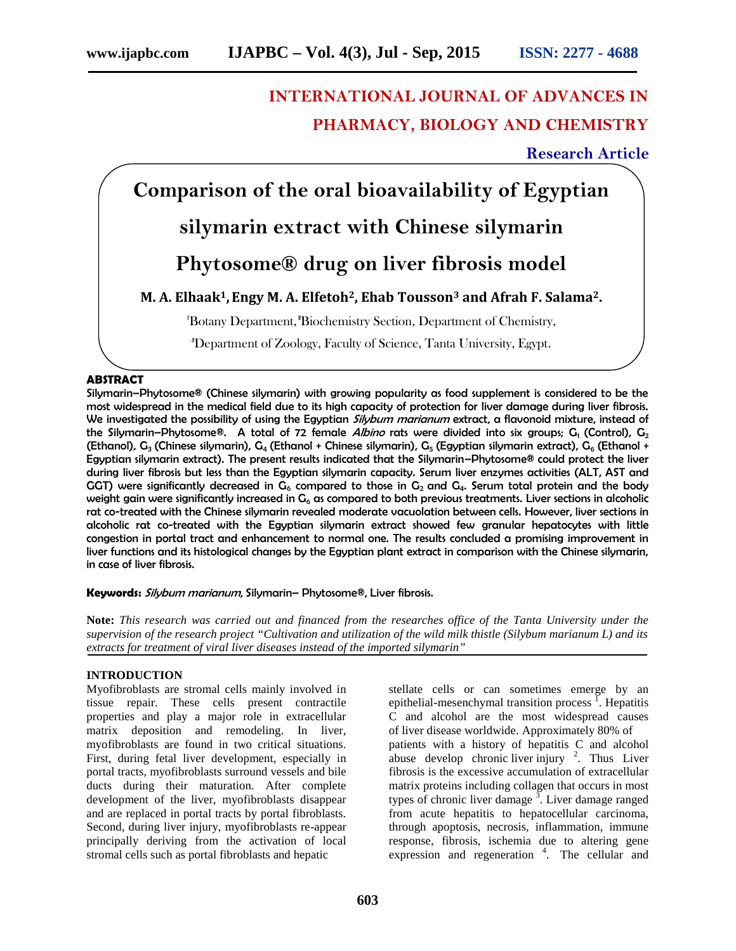# **INTERNATIONAL JOURNAL OF ADVANCES IN PHARMACY, BIOLOGY AND CHEMISTRY**

## **Research Article**

**Comparison of the oral bioavailability of Egyptian silymarin extract with Chinese silymarin Phytosome® drug on liver fibrosis model M. A. Elhaak1, Engy M. A. Elfetoh2, Ehab Tousson<sup>3</sup> and Afrah F. Salama2. <sup>1</sup>**Botany Department, **<sup>2</sup>**Biochemistry Section, Department of Chemistry, **3**Department of Zoology, Faculty of Science, Tanta University, Egypt.

## **ABSTRACT**

Silymarin–Phytosome® (Chinese silymarin) with growing popularity as food supplement is considered to be the most widespread in the medical field due to its high capacity of protection for liver damage during liver fibrosis. We investigated the possibility of using the Egyptian *Silybum marianum* extract, a flavonoid mixture, instead of the Silymarin–Phytosome®. A total of 72 female *Albino* rats were divided into six groups; G<sub>1</sub> (Control), G<sub>2</sub> (Ethanol), G<sub>3</sub> (Chinese silymarin), G<sub>4</sub> (Ethanol + Chinese silymarin), G<sub>5</sub> (Egyptian silymarin extract), G<sub>6</sub> (Ethanol + Egyptian silymarin extract). The present results indicated that the Silymarin–Phytosome® could protect the liver during liver fibrosis but less than the Egyptian silymarin capacity. Serum liver enzymes activities (ALT, AST and GGT) were significantly decreased in  $G_6$  compared to those in  $G_2$  and  $G_4$ . Serum total protein and the body weight gain were significantly increased in  $G_6$  as compared to both previous treatments. Liver sections in alcoholic rat co-treated with the Chinese silymarin revealed moderate vacuolation between cells. However, liver sections in alcoholic rat co-treated with the Egyptian silymarin extract showed few granular hepatocytes with little congestion in portal tract and enhancement to normal one. The results concluded a promising improvement in liver functions and its histological changes by the Egyptian plant extract in comparison with the Chinese silymarin, in case of liver fibrosis.

## **Keywords:** *Silybum marianum*, Silymarin– Phytosome®, Liver fibrosis.

**Note:** *This research was carried out and financed from the researches office of the Tanta University under the supervision of the research project "Cultivation and utilization of the wild milk thistle (Silybum marianum L) and its extracts for treatment of viral liver diseases instead of the imported silymarin"*

## **INTRODUCTION**

Myofibroblasts are stromal cells mainly involved in tissue repair. These cells present contractile properties and play a major role in extracellular matrix deposition and remodeling. In liver, myofibroblasts are found in two critical situations. First, during fetal liver development, especially in portal tracts, myofibroblasts surround vessels and bile ducts during their maturation. After complete development of the liver, myofibroblasts disappear and are replaced in portal tracts by portal fibroblasts. Second, during liver injury, myofibroblasts re-appear principally deriving from the activation of local stromal cells such as portal fibroblasts and hepatic

stellate cells or can sometimes emerge by an epithelial-mesenchymal transition process <sup>1</sup>. Hepatitis C and alcohol are the most widespread causes of liver disease worldwide. Approximately 80% of patients with a history of hepatitis C and alcohol abuse develop chronic liver injury  $2$ . Thus Liver fibrosis is the excessive accumulation of extracellular matrix proteins including collagen that occurs in most types of chronic liver damage  $\frac{3}{2}$ . Liver damage ranged from acute hepatitis to hepatocellular carcinoma, through apoptosis, necrosis, inflammation, immune response, fibrosis, ischemia due to altering gene expression and regeneration <sup>4</sup>. The cellular and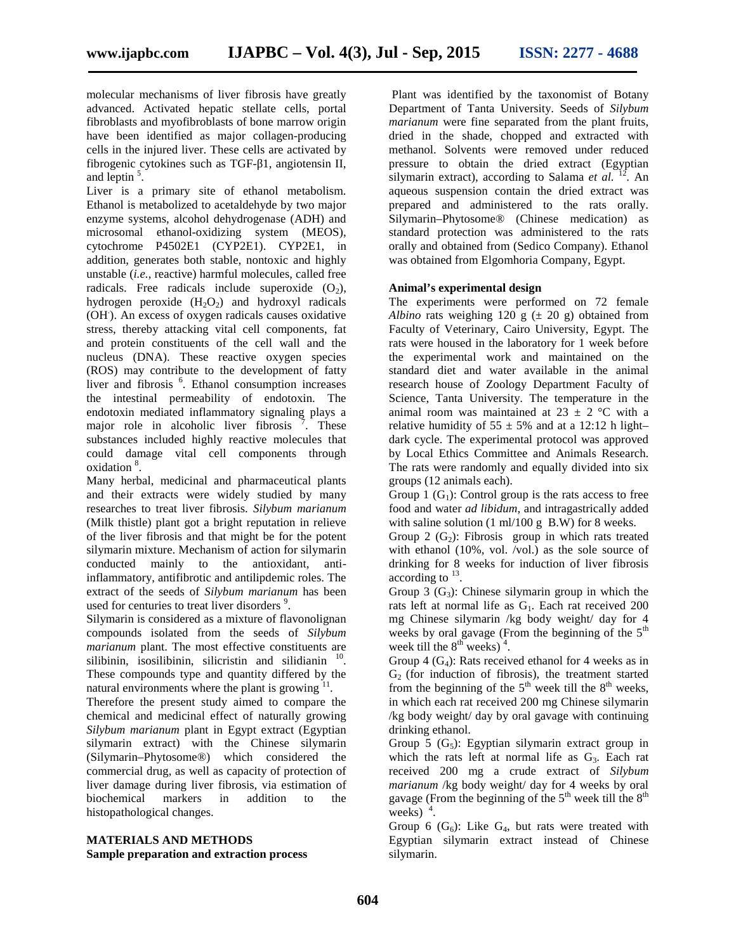molecular mechanisms of liver fibrosis have greatly advanced. Activated hepatic stellate cells, portal fibroblasts and myofibroblasts of bone marrow origin have been identified as major collagen-producing cells in the injured liver. These cells are activated by fibrogenic cytokines such as TGF-1, angiotensin II, and leptin  $5$ .

Liver is a primary site of ethanol metabolism. Ethanol is metabolized to acetaldehyde by two major enzyme systems, alcohol dehydrogenase (ADH) and microsomal ethanol-oxidizing system (MEOS), cytochrome P4502E1 (CYP2E1). CYP2E1, in addition, generates both stable, nontoxic and highly unstable (*i.e.*, reactive) harmful molecules, called free radicals. Free radicals include superoxide  $(O<sub>2</sub>)$ , hydrogen peroxide  $(H_2O_2)$  and hydroxyl radicals (OH.). An excess of oxygen radicals causes oxidative stress, thereby attacking vital cell components, fat and protein constituents of the cell wall and the nucleus (DNA). These reactive oxygen species (ROS) may contribute to the development of fatty liver and fibrosis <sup>6</sup>. Ethanol consumption increases the intestinal permeability of endotoxin. The endotoxin mediated inflammatory signaling plays a major role in alcoholic liver fibrosis  $\frac{7}{1}$ . These substances included highly reactive molecules that could damage vital cell components through oxidation <sup>8</sup> .

Many herbal, medicinal and pharmaceutical plants and their extracts were widely studied by many researches to treat liver fibrosis. *Silybum marianum* (Milk thistle) plant got a bright reputation in relieve of the liver fibrosis and that might be for the potent silymarin mixture. Mechanism of action for silymarin conducted mainly to the antioxidant, antiinflammatory, antifibrotic and antilipdemic roles. The extract of the seeds of *Silybum marianum* has been used for centuries to treat liver disorders <sup>9</sup>.

Silymarin is considered as a mixture of flavonolignan compounds isolated from the seeds of *Silybum marianum* plant. The most effective constituents are silibinin, isosilibinin, silicristin and silidianin <sup>10</sup>. These compounds type and quantity differed by the natural environments where the plant is growing  $11$ .

Therefore the present study aimed to compare the chemical and medicinal effect of naturally growing *Silybum marianum* plant in Egypt extract (Egyptian silymarin extract) with the Chinese silymarin (Silymarin–Phytosome®) which considered the commercial drug, as well as capacity of protection of liver damage during liver fibrosis, via estimation of biochemical markers in addition to the histopathological changes.

## **MATERIALS AND METHODS Sample preparation and extraction process**

Plant was identified by the taxonomist of Botany Department of Tanta University. Seeds of *Silybum marianum* were fine separated from the plant fruits, dried in the shade, chopped and extracted with methanol. Solvents were removed under reduced pressure to obtain the dried extract (Egyptian silymarin extract), according to Salama *et al.* <sup>12</sup>. An aqueous suspension contain the dried extract was prepared and administered to the rats orally. Silymarin–Phytosome® (Chinese medication) as standard protection was administered to the rats orally and obtained from (Sedico Company). Ethanol was obtained from Elgomhoria Company, Egypt.

## **Animal's experimental design**

The experiments were performed on 72 female *Albino* rats weighing 120 g  $(\pm 20 \text{ g})$  obtained from Faculty of Veterinary, Cairo University, Egypt. The rats were housed in the laboratory for 1 week before the experimental work and maintained on the standard diet and water available in the animal research house of Zoology Department Faculty of Science, Tanta University. The temperature in the animal room was maintained at  $23 \pm 2$  °C with a relative humidity of  $55 \pm 5\%$  and at a 12:12 h light– dark cycle. The experimental protocol was approved by Local Ethics Committee and Animals Research. The rats were randomly and equally divided into six groups (12 animals each).

Group 1  $(G_1)$ : Control group is the rats access to free food and water *ad libidum*, and intragastrically added with saline solution  $(1 \text{ ml}/100 \text{ g} \text{ B.W})$  for 8 weeks.

Group 2  $(G<sub>2</sub>)$ : Fibrosis group in which rats treated with ethanol (10%, vol. /vol.) as the sole source of drinking for 8 weeks for induction of liver fibrosis according to  $^{13}$ . .

Group 3  $(G_3)$ : Chinese silymarin group in which the rats left at normal life as  $G_1$ . Each rat received 200 mg Chinese silymarin /kg body weight/ day for 4 weeks by oral gavage (From the beginning of the  $5<sup>th</sup>$ week till the  $8<sup>th</sup>$  weeks)<sup>4</sup>.

Group 4  $(G<sub>4</sub>)$ : Rats received ethanol for 4 weeks as in  $G<sub>2</sub>$  (for induction of fibrosis), the treatment started from the beginning of the  $5<sup>th</sup>$  week till the  $8<sup>th</sup>$  weeks, in which each rat received 200 mg Chinese silymarin /kg body weight/ day by oral gavage with continuing drinking ethanol.

Group 5  $(G_5)$ : Egyptian silymarin extract group in which the rats left at normal life as  $G_3$ . Each rat received 200 mg a crude extract of *Silybum marianum* /kg body weight/ day for 4 weeks by oral gavage (From the beginning of the  $5<sup>th</sup>$  week till the  $8<sup>th</sup>$ weeks) $4$ . .

Group 6  $(G_6)$ : Like  $G_4$ , but rats were treated with Egyptian silymarin extract instead of Chinese silymarin.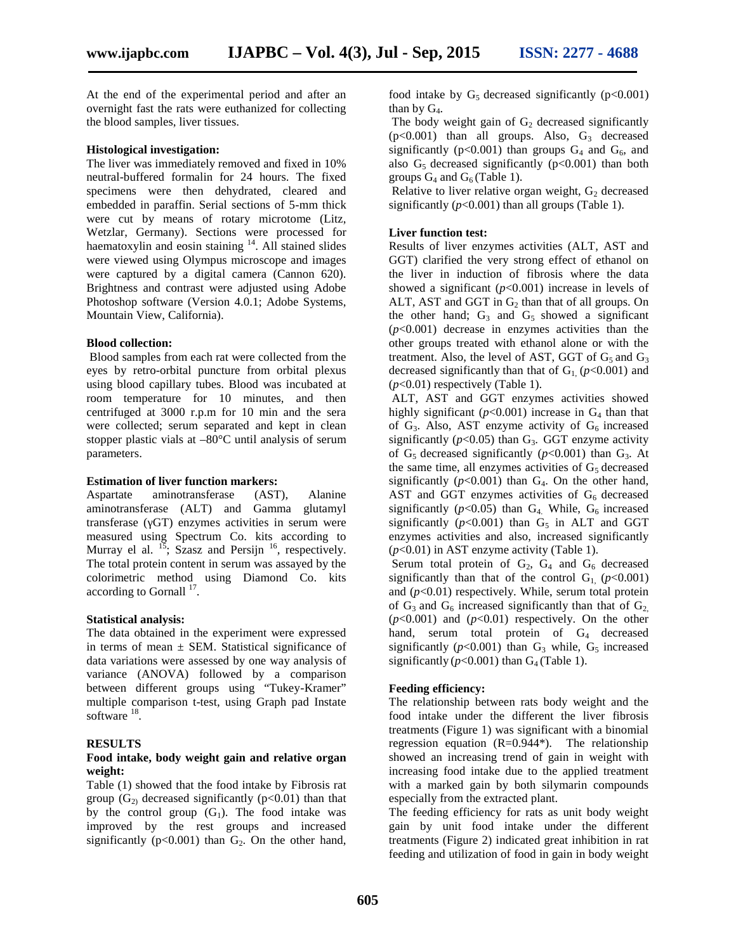At the end of the experimental period and after an overnight fast the rats were euthanized for collecting the blood samples, liver tissues.

#### **Histological investigation:**

The liver was immediately removed and fixed in 10% neutral-buffered formalin for 24 hours. The fixed specimens were then dehydrated, cleared and embedded in paraffin. Serial sections of 5-mm thick were cut by means of rotary microtome (Litz, Wetzlar, Germany). Sections were processed for haematoxylin and eosin staining <sup>14</sup>. All stained slides were viewed using Olympus microscope and images were captured by a digital camera (Cannon 620). Brightness and contrast were adjusted using Adobe Photoshop software (Version 4.0.1; Adobe Systems, Mountain View, California).

## **Blood collection:**

Blood samples from each rat were collected from the eyes by retro-orbital puncture from orbital plexus using blood capillary tubes. Blood was incubated at room temperature for 10 minutes, and then centrifuged at 3000 r.p.m for 10 min and the sera were collected; serum separated and kept in clean stopper plastic vials at –80°C until analysis of serum parameters.

#### **Estimation of liver function markers:**

Aspartate aminotransferase (AST), Alanine aminotransferase (ALT) and Gamma glutamyl transferase (GT) enzymes activities in serum were measured using Spectrum Co. kits according to Murray el al.  $^{15}$ ; Szasz and Persijn  $^{16}$ , respectively. The total protein content in serum was assayed by the colorimetric method using Diamond Co. kits according to Gornall  $^{17}$ .

#### **Statistical analysis:**

The data obtained in the experiment were expressed in terms of mean  $\pm$  SEM. Statistical significance of data variations were assessed by one way analysis of variance (ANOVA) followed by a comparison between different groups using "Tukey-Kramer" multiple comparison t-test, using Graph pad Instate software  $^{18}$ .

## **RESULTS**

### **Food intake, body weight gain and relative organ weight:**

Table (1) showed that the food intake by Fibrosis rat group  $(G_2)$  decreased significantly (p<0.01) than that by the control group  $(G_1)$ . The food intake was improved by the rest groups and increased significantly ( $p<0.001$ ) than  $G_2$ . On the other hand, food intake by  $G_5$  decreased significantly ( $p<0.001$ ) than by  $G_4$ .

The body weight gain of  $G_2$  decreased significantly  $(p<0.001)$  than all groups. Also,  $G_3$  decreased significantly ( $p<0.001$ ) than groups  $G_4$  and  $G_6$ , and also  $G<sub>5</sub>$  decreased significantly ( $p<0.001$ ) than both groups  $G_4$  and  $G_6$  (Table 1).

Relative to liver relative organ weight,  $G_2$  decreased significantly  $(p<0.001)$  than all groups (Table 1).

#### **Liver function test:**

Results of liver enzymes activities (ALT, AST and GGT) clarified the very strong effect of ethanol on the liver in induction of fibrosis where the data showed a significant (*p*<0.001) increase in levels of ALT, AST and GGT in  $G_2$  than that of all groups. On the other hand;  $G_3$  and  $G_5$  showed a significant  $(p<0.001)$  decrease in enzymes activities than the other groups treated with ethanol alone or with the treatment. Also, the level of AST, GGT of  $G_5$  and  $G_3$ decreased significantly than that of  $G<sub>1</sub>$  ( $p<0.001$ ) and  $(p<0.01)$  respectively (Table 1).

ALT, AST and GGT enzymes activities showed highly significant ( $p<0.001$ ) increase in  $G_4$  than that of  $G_3$ . Also, AST enzyme activity of  $G_6$  increased significantly ( $p$ <0.05) than  $G_3$ . GGT enzyme activity of  $G_5$  decreased significantly ( $p$ <0.001) than  $G_3$ . At the same time, all enzymes activities of  $G<sub>5</sub>$  decreased significantly  $(p<0.001)$  than  $G_4$ . On the other hand, AST and GGT enzymes activities of  $G<sub>6</sub>$  decreased significantly  $(p<0.05)$  than  $G_4$ . While,  $G_6$  increased significantly  $(p<0.001)$  than  $G<sub>5</sub>$  in ALT and GGT enzymes activities and also, increased significantly (*p*<0.01) in AST enzyme activity (Table 1).

Serum total protein of  $G_2$ ,  $G_4$  and  $G_6$  decreased significantly than that of the control  $G_1$  ( $p<0.001$ ) and  $(p<0.01)$  respectively. While, serum total protein of  $G_3$  and  $G_6$  increased significantly than that of  $G_2$ ,  $(p<0.001)$  and  $(p<0.01)$  respectively. On the other hand, serum total protein of G<sub>4</sub> decreased significantly  $(p<0.001)$  than  $G_3$  while,  $G_5$  increased significantly  $(p<0.001)$  than  $G_4$  (Table 1).

## **Feeding efficiency:**

The relationship between rats body weight and the food intake under the different the liver fibrosis treatments (Figure 1) was significant with a binomial regression equation (R=0.944\*). The relationship showed an increasing trend of gain in weight with increasing food intake due to the applied treatment with a marked gain by both silymarin compounds especially from the extracted plant.

The feeding efficiency for rats as unit body weight gain by unit food intake under the different treatments (Figure 2) indicated great inhibition in rat feeding and utilization of food in gain in body weight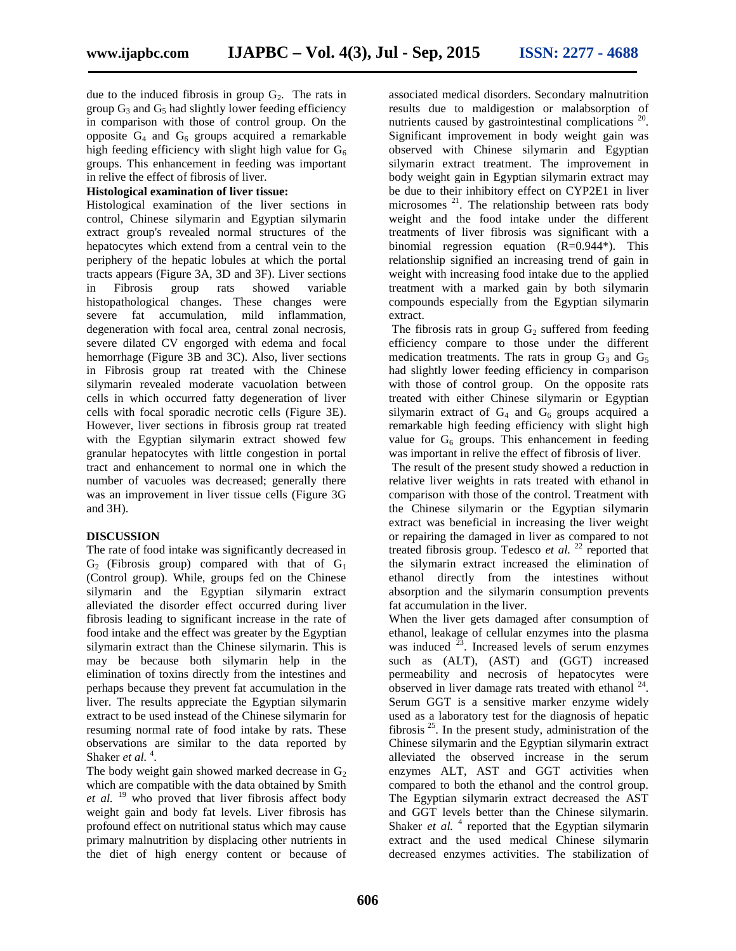due to the induced fibrosis in group  $G_2$ . The rats in group  $G_3$  and  $G_5$  had slightly lower feeding efficiency in comparison with those of control group. On the opposite  $G_4$  and  $G_6$  groups acquired a remarkable high feeding efficiency with slight high value for  $G_6$ groups. This enhancement in feeding was important in relive the effect of fibrosis of liver.

## **Histological examination of liver tissue:**

Histological examination of the liver sections in control, Chinese silymarin and Egyptian silymarin extract group's revealed normal structures of the hepatocytes which extend from a central vein to the periphery of the hepatic lobules at which the portal tracts appears (Figure 3A, 3D and 3F). Liver sections in Fibrosis group rats showed variable histopathological changes. These changes were severe fat accumulation, mild inflammation, degeneration with focal area, central zonal necrosis, severe dilated CV engorged with edema and focal hemorrhage (Figure 3B and 3C). Also, liver sections in Fibrosis group rat treated with the Chinese silymarin revealed moderate vacuolation between cells in which occurred fatty degeneration of liver cells with focal sporadic necrotic cells (Figure 3E). However, liver sections in fibrosis group rat treated with the Egyptian silymarin extract showed few granular hepatocytes with little congestion in portal tract and enhancement to normal one in which the number of vacuoles was decreased; generally there was an improvement in liver tissue cells (Figure 3G and 3H).

## **DISCUSSION**

The rate of food intake was significantly decreased in  $G_2$  (Fibrosis group) compared with that of  $G_1$ (Control group). While, groups fed on the Chinese silymarin and the Egyptian silymarin extract alleviated the disorder effect occurred during liver fibrosis leading to significant increase in the rate of food intake and the effect was greater by the Egyptian silymarin extract than the Chinese silymarin. This is may be because both silymarin help in the elimination of toxins directly from the intestines and perhaps because they prevent fat accumulation in the liver. The results appreciate the Egyptian silymarin extract to be used instead of the Chinese silymarin for resuming normal rate of food intake by rats. These observations are similar to the data reported by Shaker *et al.*<sup>4</sup>. .

The body weight gain showed marked decrease in  $G_2$ which are compatible with the data obtained by Smith *et al.* <sup>19</sup> who proved that liver fibrosis affect body weight gain and body fat levels. Liver fibrosis has profound effect on nutritional status which may cause primary malnutrition by displacing other nutrients in the diet of high energy content or because of

associated medical disorders. Secondary malnutrition results due to maldigestion or malabsorption of nutrients caused by gastrointestinal complications <sup>20</sup>. Significant improvement in body weight gain was observed with Chinese silymarin and Egyptian silymarin extract treatment. The improvement in body weight gain in Egyptian silymarin extract may be due to their inhibitory effect on CYP2E1 in liver microsomes <sup>21</sup>. The relationship between rats body weight and the food intake under the different treatments of liver fibrosis was significant with a binomial regression equation (R=0.944\*). This relationship signified an increasing trend of gain in weight with increasing food intake due to the applied treatment with a marked gain by both silymarin compounds especially from the Egyptian silymarin extract.

The fibrosis rats in group  $G_2$  suffered from feeding efficiency compare to those under the different medication treatments. The rats in group  $G_3$  and  $G_5$ had slightly lower feeding efficiency in comparison with those of control group. On the opposite rats treated with either Chinese silymarin or Egyptian silymarin extract of  $G_4$  and  $G_6$  groups acquired a remarkable high feeding efficiency with slight high value for  $G<sub>6</sub>$  groups. This enhancement in feeding was important in relive the effect of fibrosis of liver.

The result of the present study showed a reduction in relative liver weights in rats treated with ethanol in comparison with those of the control. Treatment with the Chinese silymarin or the Egyptian silymarin extract was beneficial in increasing the liver weight or repairing the damaged in liver as compared to not treated fibrosis group. Tedesco *et al.* <sup>22</sup> reported that the silymarin extract increased the elimination of ethanol directly from the intestines without absorption and the silymarin consumption prevents fat accumulation in the liver.

When the liver gets damaged after consumption of ethanol, leakage of cellular enzymes into the plasma was induced  $23$ . Increased levels of serum enzymes such as (ALT), (AST) and (GGT) increased permeability and necrosis of hepatocytes were observed in liver damage rats treated with ethanol  $24$ . Serum GGT is a sensitive marker enzyme widely used as a laboratory test for the diagnosis of hepatic fibrosis  $25$ . In the present study, administration of the Chinese silymarin and the Egyptian silymarin extract alleviated the observed increase in the serum enzymes ALT, AST and GGT activities when compared to both the ethanol and the control group. The Egyptian silymarin extract decreased the AST and GGT levels better than the Chinese silymarin. Shaker *et al.* <sup>4</sup> reported that the Egyptian silymarin extract and the used medical Chinese silymarin decreased enzymes activities. The stabilization of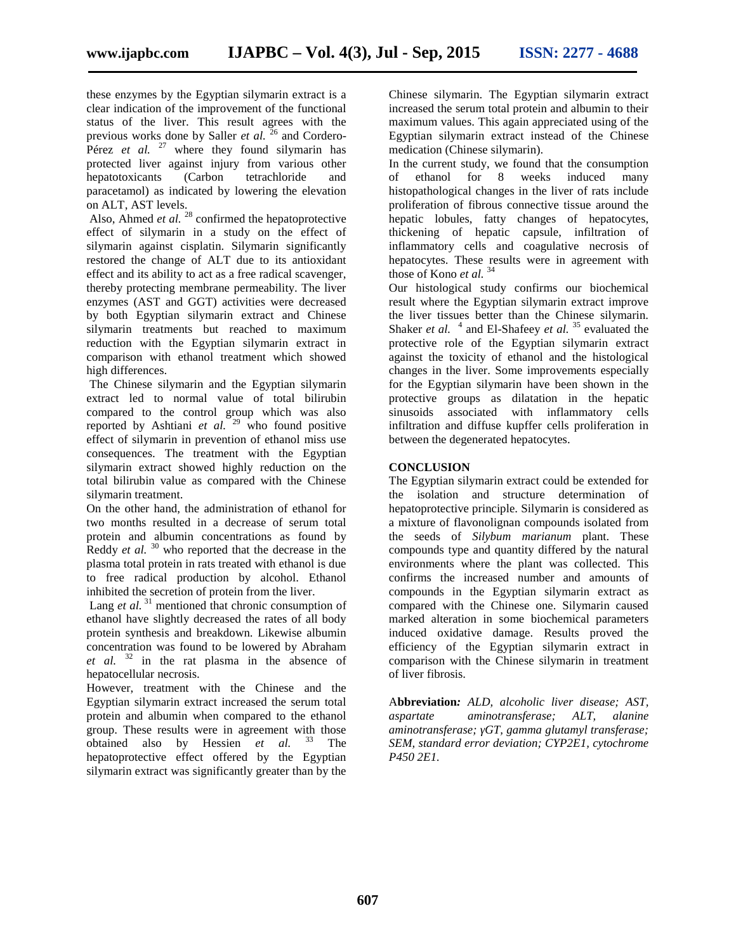these enzymes by the Egyptian silymarin extract is a clear indication of the improvement of the functional status of the liver. This result agrees with the previous works done by Saller *et al.* <sup>26</sup> and Cordero-Pérez *et al.* <sup>27</sup> where they found silymarin has protected liver against injury from various other hepatotoxicants (Carbon tetrachloride and paracetamol) as indicated by lowering the elevation on ALT, AST levels.

Also, Ahmed *et al.* <sup>28</sup> confirmed the hepatoprotective effect of silymarin in a study on the effect of silymarin against cisplatin. Silymarin significantly restored the change of ALT due to its antioxidant effect and its ability to act as a free radical scavenger, thereby protecting membrane permeability. The liver enzymes (AST and GGT) activities were decreased by both Egyptian silymarin extract and Chinese silymarin treatments but reached to maximum reduction with the Egyptian silymarin extract in comparison with ethanol treatment which showed high differences.

The Chinese silymarin and the Egyptian silymarin extract led to normal value of total bilirubin compared to the control group which was also reported by Ashtiani *et al.* <sup>29</sup> who found positive effect of silymarin in prevention of ethanol miss use consequences. The treatment with the Egyptian silymarin extract showed highly reduction on the total bilirubin value as compared with the Chinese silymarin treatment.

On the other hand, the administration of ethanol for two months resulted in a decrease of serum total protein and albumin concentrations as found by Reddy *et al.* <sup>30</sup> who reported that the decrease in the plasma total protein in rats treated with ethanol is due to free radical production by alcohol. Ethanol inhibited the secretion of protein from the liver.

Lang *et al.*<sup>31</sup> mentioned that chronic consumption of ethanol have slightly decreased the rates of all body protein synthesis and breakdown. Likewise albumin concentration was found to be lowered by Abraham *et al.* <sup>32</sup> in the rat plasma in the absence of hepatocellular necrosis.

However, treatment with the Chinese and the Egyptian silymarin extract increased the serum total protein and albumin when compared to the ethanol group. These results were in agreement with those<br>obtained also by Hessien *et al.*  $33$  The obtained also by Hessien *et al.* <sup>33</sup> hepatoprotective effect offered by the Egyptian silymarin extract was significantly greater than by the

Chinese silymarin. The Egyptian silymarin extract increased the serum total protein and albumin to their maximum values. This again appreciated using of the Egyptian silymarin extract instead of the Chinese medication (Chinese silymarin).

In the current study, we found that the consumption ethanol for 8 weeks induced many histopathological changes in the liver of rats include proliferation of fibrous connective tissue around the hepatic lobules, fatty changes of hepatocytes, thickening of hepatic capsule, infiltration of inflammatory cells and coagulative necrosis of hepatocytes. These results were in agreement with those of Kono *et al.* <sup>34</sup>

Our histological study confirms our biochemical result where the Egyptian silymarin extract improve the liver tissues better than the Chinese silymarin. Shaker *et al.* <sup>4</sup> and El-Shafeey *et al.* <sup>35</sup> evaluated the protective role of the Egyptian silymarin extract against the toxicity of ethanol and the histological changes in the liver. Some improvements especially for the Egyptian silymarin have been shown in the protective groups as dilatation in the hepatic sinusoids associated with inflammatory cells infiltration and diffuse kupffer cells proliferation in between the degenerated hepatocytes.

## **CONCLUSION**

The Egyptian silymarin extract could be extended for the isolation and structure determination of hepatoprotective principle. Silymarin is considered as a mixture of flavonolignan compounds isolated from the seeds of *Silybum marianum* plant. These compounds type and quantity differed by the natural environments where the plant was collected. This confirms the increased number and amounts of compounds in the Egyptian silymarin extract as compared with the Chinese one. Silymarin caused marked alteration in some biochemical parameters induced oxidative damage. Results proved the efficiency of the Egyptian silymarin extract in comparison with the Chinese silymarin in treatment of liver fibrosis.

A**bbreviation***: ALD, alcoholic liver disease; AST, aspartate aminotransferase; ALT, alanine aminotransferase; GT, gamma glutamyl transferase; SEM, standard error deviation; CYP2E1, cytochrome P450 2E1.*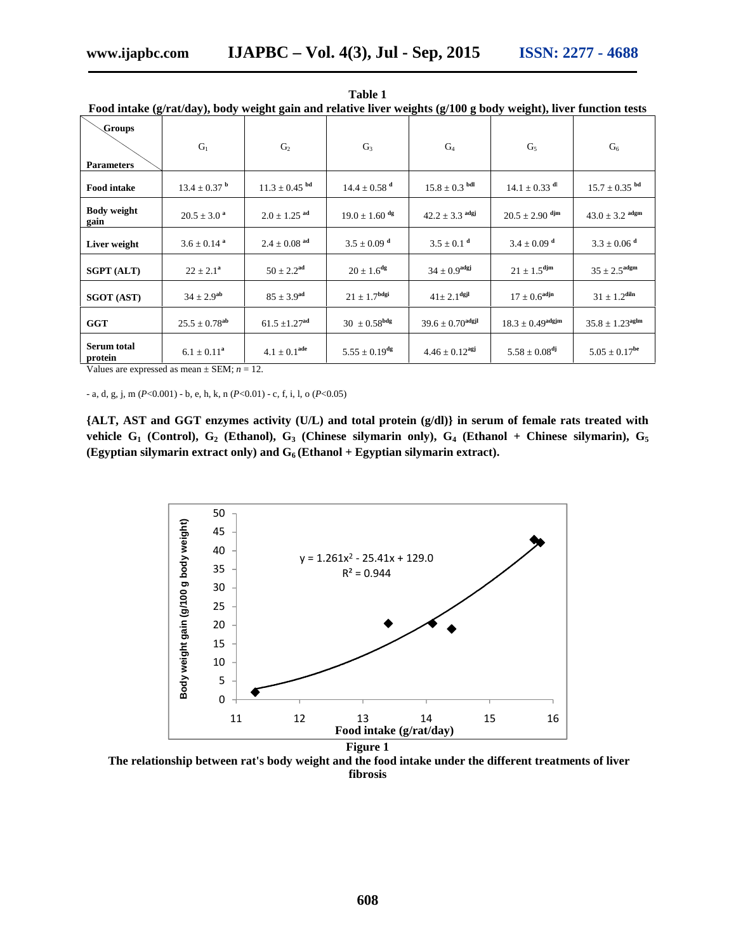| r ood intake (g/rat/day), body weight gain and relative liver weights (g/100 g body weight), hver function tests |                               |                               |                               |                                  |                                  |                               |
|------------------------------------------------------------------------------------------------------------------|-------------------------------|-------------------------------|-------------------------------|----------------------------------|----------------------------------|-------------------------------|
| Groups<br><b>Parameters</b>                                                                                      | $G_1$                         | G <sub>2</sub>                | $G_3$                         | $G_4$                            | $G_5$                            | G <sub>6</sub>                |
| <b>Food intake</b>                                                                                               | $13.4 \pm 0.37$ <sup>b</sup>  | $11.3 \pm 0.45$ <sup>bd</sup> | $14.4 \pm 0.58$ <sup>d</sup>  | $15.8 \pm 0.3$ bdl               | $14.1 \pm 0.33$ dl               | $15.7 \pm 0.35$ bd            |
| <b>Body weight</b><br>gain                                                                                       | $20.5 \pm 3.0$ <sup>a</sup>   | $2.0 \pm 1.25$ <sup>ad</sup>  | $19.0 \pm 1.60$ <sup>dg</sup> | $42.2 \pm 3.3$ <sup>adgj</sup>   | $20.5 \pm 2.90$ djm              | $43.0 \pm 3.2$ adgm           |
| Liver weight                                                                                                     | $3.6 \pm 0.14$ <sup>a</sup>   | $2.4 \pm 0.08$ <sup>ad</sup>  | $3.5 \pm 0.09$ <sup>d</sup>   | $3.5 \pm 0.1$ <sup>d</sup>       | $3.4 \pm 0.09$ <sup>d</sup>      | $3.3 \pm 0.06$ <sup>d</sup>   |
| <b>SGPT (ALT)</b>                                                                                                | $22 \pm 2.1^a$                | $50 \pm 2.2$ <sup>ad</sup>    | $20 \pm 1.6^{\text{dg}}$      | $34 \pm 0.9$ <sup>adgj</sup>     | $21 \pm 1.5^{\text{djm}}$        | $35 \pm 2.5$ <sup>adgm</sup>  |
| <b>SGOT (AST)</b>                                                                                                | $34 \pm 2.9^{ab}$             | $85 \pm 3.9$ <sup>ad</sup>    | $21 \pm 1.7^{\text{bdgi}}$    | $41 \pm 2.1$ <sup>dgjl</sup>     | $17 \pm 0.6$ <sup>adjn</sup>     | $31 \pm 1.2^{\text{diln}}$    |
| <b>GGT</b>                                                                                                       | $25.5 \pm 0.78$ <sup>ab</sup> | $61.5 \pm 1.27$ <sup>ad</sup> | $30\ \pm0.58^{\text{bdg}}$    | $39.6 \pm 0.70$ <sup>adgjl</sup> | $18.3 \pm 0.49$ <sup>adgjm</sup> | $35.8 \pm 1.23^{\text{aglm}}$ |
| Serum total<br>protein                                                                                           | $6.1 \pm 0.11^a$              | $4.1 \pm 0.1^{ade}$           | $5.55 \pm 0.19^{\text{dg}}$   | $4.46 \pm 0.12$ <sup>agj</sup>   | $5.58 \pm 0.08^{dj}$             | $5.05 \pm 0.17^{be}$          |

**Table 1 Food intake (g/rat/day), body weight gain and relative liver weights (g/100 g body weight), liver function tests**

Values are expressed as mean  $\pm$  SEM;  $n = 12$ .

- a, d, g, j, m (*P*<0.001) - b, e, h, k, n (*P*<0.01) - c, f, i, l, o (*P*<0.05)

**{ALT, AST and GGT enzymes activity (U/L) and total protein (g/dl)} in serum of female rats treated with vehicle G<sup>1</sup> (Control), G<sup>2</sup> (Ethanol), G<sup>3</sup> (Chinese silymarin only), G<sup>4</sup> (Ethanol + Chinese silymarin), G<sup>5</sup> (Egyptian silymarin extract only) and G<sup>6</sup> (Ethanol + Egyptian silymarin extract).**



**The relationship between rat's body weight and the food intake under the different treatments of liver fibrosis**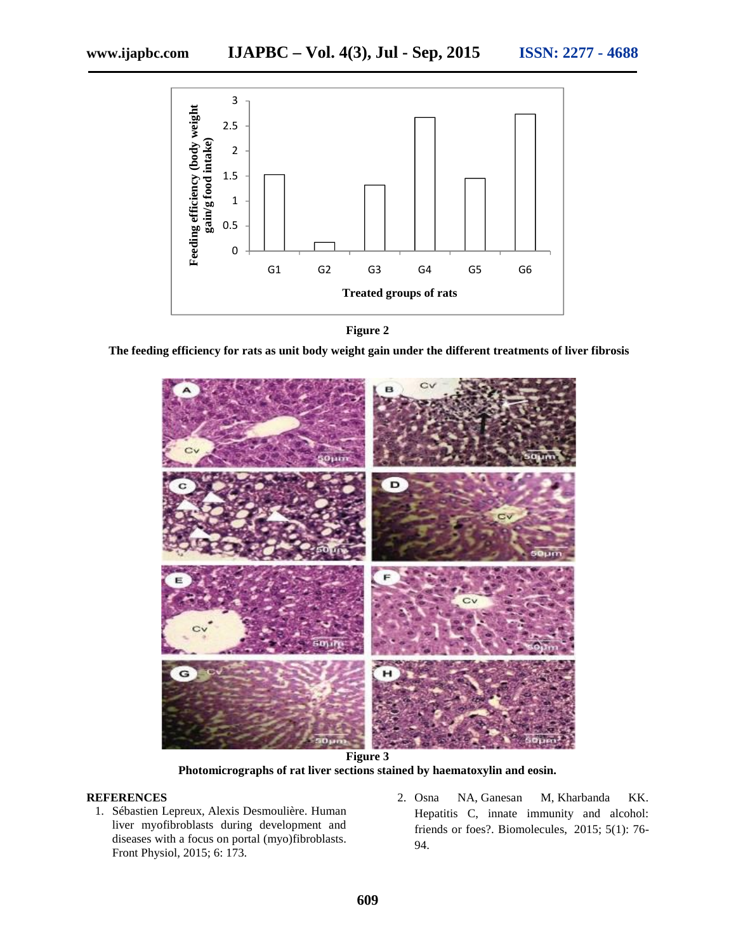

**Figure 2**

**The feeding efficiency for rats as unit body weight gain under the different treatments of liver fibrosis**



**Photomicrographs of rat liver sections stained by haematoxylin and eosin.**

## **REFERENCES**

- 1. Sébastien Lepreux, Alexis Desmoulière. Human liver myofibroblasts during development and diseases with a focus on portal (myo)fibroblasts. Front Physiol, 2015; 6: 173.
- 2. Osna NA, Ganesan M, Kharbanda KK. Hepatitis C, innate immunity and alcohol: friends or foes?. Biomolecules, 2015; 5(1): 76- 94.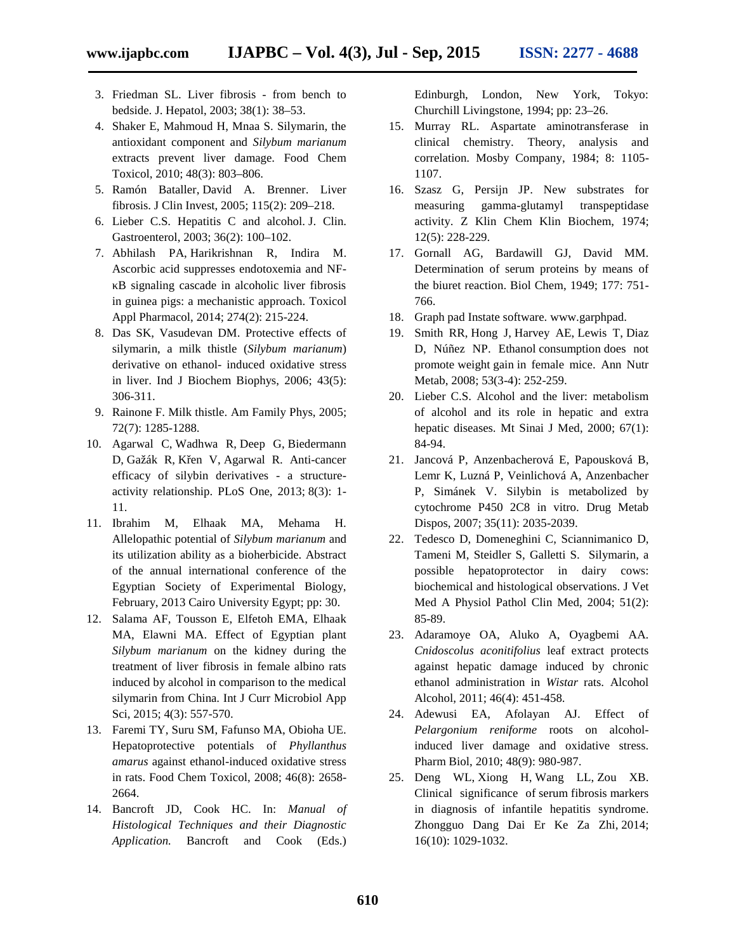- 3. Friedman SL. Liver fibrosis from bench to bedside. J. Hepatol, 2003; 38(1): 38–53.
- 4. Shaker E, Mahmoud H, Mnaa S. Silymarin, the antioxidant component and *Silybum marianum* extracts prevent liver damage. Food Chem Toxicol, 2010; 48(3): 803–806.
- 5. Ramón Bataller, David A. Brenner. Liver fibrosis. J Clin Invest, 2005; 115(2): 209–218.
- 6. Lieber C.S. Hepatitis C and alcohol. J. Clin. Gastroenterol, 2003; 36(2): 100–102.
- 7. Abhilash PA, Harikrishnan R, Indira M. Ascorbic acid suppresses endotoxemia and NF- B signaling cascade in alcoholic liver fibrosis in guinea pigs: a mechanistic approach. Toxicol Appl Pharmacol, 2014; 274(2): 215-224.
- 8. Das SK, Vasudevan DM. Protective effects of silymarin, a milk thistle (*Silybum marianum*) derivative on ethanol- induced oxidative stress in liver. Ind J Biochem Biophys, 2006; 43(5): 306-311.
- 9. Rainone F. Milk thistle. Am Family Phys, 2005; 72(7): 1285-1288.
- 10. Agarwal C, Wadhwa R, Deep G, Biedermann D, Gažák R, K en V, Agarwal R. Anti-cancer efficacy of silybin derivatives - a structure activity relationship. PLoS One, 2013; 8(3): 1- 11.
- 11. Ibrahim M, Elhaak MA, Mehama H. Allelopathic potential of *Silybum marianum* and its utilization ability as a bioherbicide. Abstract of the annual international conference of the Egyptian Society of Experimental Biology, February, 2013 Cairo University Egypt; pp: 30.
- 12. Salama AF, Tousson E, Elfetoh EMA, Elhaak MA, Elawni MA. Effect of Egyptian plant *Silybum marianum* on the kidney during the treatment of liver fibrosis in female albino rats induced by alcohol in comparison to the medical silymarin from China. Int J Curr Microbiol App Sci, 2015; 4(3): 557-570.
- 13. Faremi TY, Suru SM, Fafunso MA, Obioha UE. Hepatoprotective potentials of *Phyllanthus amarus* against ethanol-induced oxidative stress in rats. Food Chem Toxicol, 2008; 46(8): 2658- 2664.
- 14. Bancroft JD, Cook HC. In: *Manual of Histological Techniques and their Diagnostic Application.* Bancroft and Cook (Eds.)

Edinburgh, London, New York, Tokyo: Churchill Livingstone, 1994; pp: 23–26.

- 15. Murray RL. Aspartate aminotransferase in clinical chemistry. Theory, analysis and correlation. Mosby Company, 1984; 8: 1105- 1107.
- 16. Szasz G, Persijn JP. New substrates for measuring gamma-glutamyl transpeptidase activity. Z Klin Chem Klin Biochem, 1974; 12(5): 228-229.
- 17. Gornall AG, Bardawill GJ, David MM. Determination of serum proteins by means of the biuret reaction. Biol Chem, 1949; 177: 751- 766.
- 18. Graph pad Instate software. www.garphpad.
- 19. Smith RR, Hong J, Harvey AE, Lewis T, Diaz D, Núñez NP. Ethanol consumption does not promote weight gain in female mice. Ann Nutr Metab, 2008; 53(3-4): 252-259.
- 20. Lieber C.S. Alcohol and the liver: metabolism of alcohol and its role in hepatic and extra hepatic diseases. Mt Sinai J Med, 2000; 67(1): 84-94.
- 21. Jancová P, Anzenbacherová E, Papousková B, Lemr K, Luzná P, Veinlichová A, Anzenbacher P, Simánek V. Silybin is metabolized by cytochrome P450 2C8 in vitro. Drug Metab Dispos, 2007; 35(11): 2035-2039.
- 22. Tedesco D, Domeneghini C, Sciannimanico D, Tameni M, Steidler S, Galletti S. Silymarin, a possible hepatoprotector in dairy cows: biochemical and histological observations. J Vet Med A Physiol Pathol Clin Med, 2004; 51(2): 85-89.
- 23. Adaramoye OA, Aluko A, Oyagbemi AA. *Cnidoscolus aconitifolius* leaf extract protects against hepatic damage induced by chronic ethanol administration in *Wistar* rats. Alcohol Alcohol, 2011; 46(4): 451-458.
- 24. Adewusi EA, Afolayan AJ. Effect of *Pelargonium reniforme* roots on alcoholinduced liver damage and oxidative stress. Pharm Biol, 2010; 48(9): 980-987.
- 25. Deng WL, Xiong H, Wang LL, Zou XB. Clinical significance of serum fibrosis markers in diagnosis of infantile hepatitis syndrome. Zhongguo Dang Dai Er Ke Za Zhi, 2014; 16(10): 1029-1032.